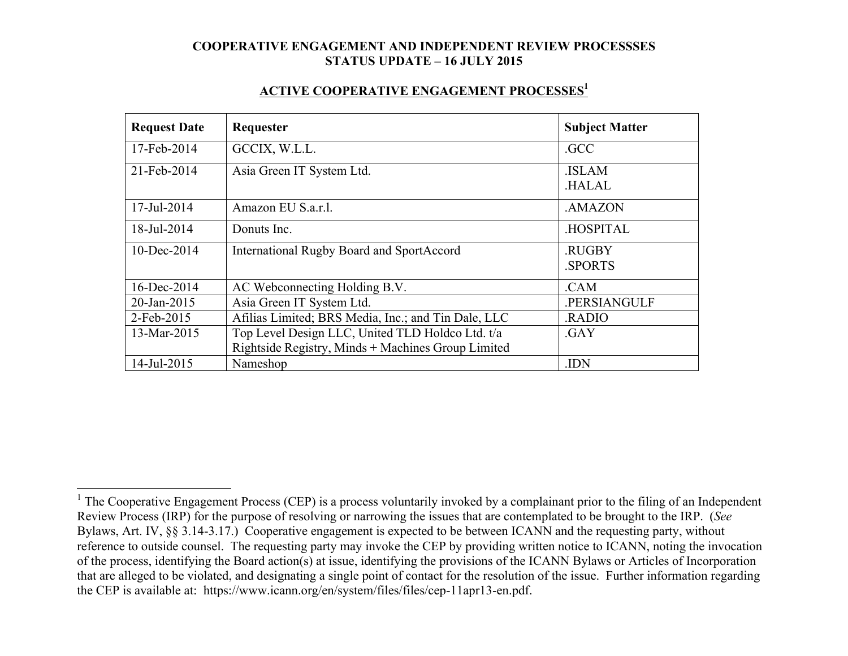| <b>Request Date</b> | Requester                                           | <b>Subject Matter</b> |
|---------------------|-----------------------------------------------------|-----------------------|
| 17-Feb-2014         | GCCIX, W.L.L.                                       | .GCC                  |
| 21-Feb-2014         | Asia Green IT System Ltd.                           | <b>ISLAM</b>          |
|                     |                                                     | <b>HALAL</b>          |
| 17-Jul-2014         | Amazon EU S.a.r.l.                                  | .AMAZON               |
| 18-Jul-2014         | Donuts Inc.                                         | <b>HOSPITAL</b>       |
| $10 - Dec-2014$     | <b>International Rugby Board and SportAccord</b>    | .RUGBY                |
|                     |                                                     | <b>SPORTS</b>         |
| 16-Dec-2014         | AC Webconnecting Holding B.V.                       | .CAM                  |
| 20-Jan-2015         | Asia Green IT System Ltd.                           | .PERSIANGULF          |
| 2-Feb-2015          | Afilias Limited; BRS Media, Inc.; and Tin Dale, LLC | .RADIO                |
| 13-Mar-2015         | Top Level Design LLC, United TLD Holdco Ltd. t/a    | .GAY                  |
|                     | Rightside Registry, Minds + Machines Group Limited  |                       |
| 14-Jul-2015         | Nameshop                                            | .IDN                  |

<sup>&</sup>lt;sup>1</sup> The Cooperative Engagement Process (CEP) is a process voluntarily invoked by a complainant prior to the filing of an Independent Review Process (IRP) for the purpose of resolving or narrowing the issues that are contemplated to be brought to the IRP. (*See* Bylaws, Art. IV, §§ 3.14-3.17.) Cooperative engagement is expected to be between ICANN and the requesting party, without reference to outside counsel. The requesting party may invoke the CEP by providing written notice to ICANN, noting the invocation of the process, identifying the Board action(s) at issue, identifying the provisions of the ICANN Bylaws or Articles of Incorporation that are alleged to be violated, and designating a single point of contact for the resolution of the issue. Further information regarding the CEP is available at: https://www.icann.org/en/system/files/files/cep-11apr13-en.pdf.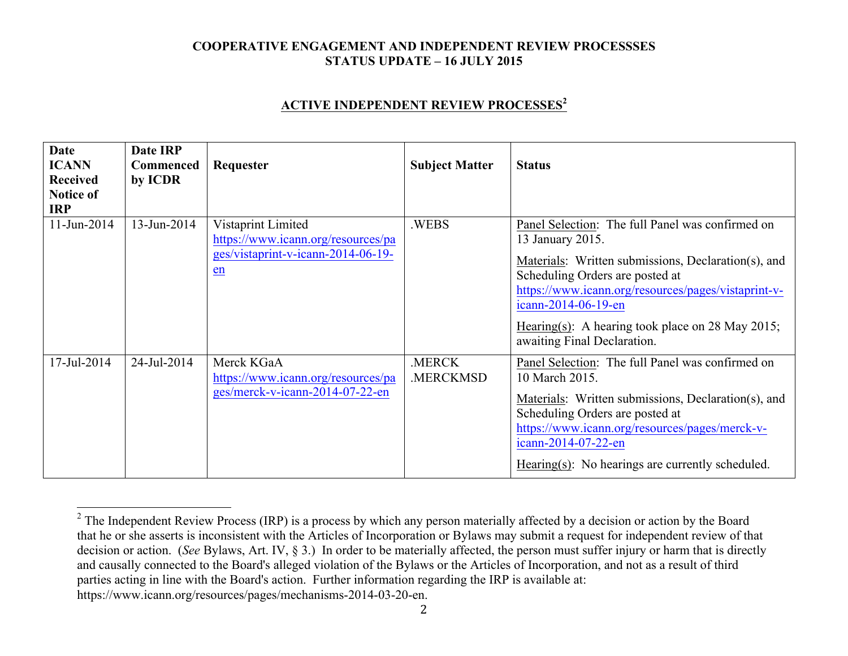### **ACTIVE INDEPENDENT REVIEW PROCESSES<sup>2</sup>**

| <b>Date</b><br><b>ICANN</b><br><b>Received</b><br><b>Notice of</b><br><b>IRP</b> | Date IRP<br><b>Commenced</b><br>by ICDR | Requester                                                                                            | <b>Subject Matter</b> | <b>Status</b>                                                                                                                                                                                                                                                                                                                   |
|----------------------------------------------------------------------------------|-----------------------------------------|------------------------------------------------------------------------------------------------------|-----------------------|---------------------------------------------------------------------------------------------------------------------------------------------------------------------------------------------------------------------------------------------------------------------------------------------------------------------------------|
| 11-Jun-2014                                                                      | 13-Jun-2014                             | Vistaprint Limited<br>https://www.icann.org/resources/pa<br>ges/vistaprint-v-icann-2014-06-19-<br>en | .WEBS                 | Panel Selection: The full Panel was confirmed on<br>13 January 2015.<br>Materials: Written submissions, Declaration(s), and<br>Scheduling Orders are posted at<br>https://www.icann.org/resources/pages/vistaprint-v-<br>icann-2014-06-19-en<br>Hearing(s): A hearing took place on 28 May 2015;<br>awaiting Final Declaration. |
| 17-Jul-2014                                                                      | 24-Jul-2014                             | Merck KGaA<br>https://www.icann.org/resources/pa<br>ges/merck-v-icann-2014-07-22-en                  | .MERCK<br>.MERCKMSD   | Panel Selection: The full Panel was confirmed on<br>10 March 2015.<br>Materials: Written submissions, Declaration(s), and<br>Scheduling Orders are posted at<br>https://www.icann.org/resources/pages/merck-v-<br>icann-2014-07-22-en<br>Hearing(s): No hearings are currently scheduled.                                       |

 $2$  The Independent Review Process (IRP) is a process by which any person materially affected by a decision or action by the Board that he or she asserts is inconsistent with the Articles of Incorporation or Bylaws may submit a request for independent review of that decision or action. (*See* Bylaws, Art. IV, § 3.) In order to be materially affected, the person must suffer injury or harm that is directly and causally connected to the Board's alleged violation of the Bylaws or the Articles of Incorporation, and not as a result of third parties acting in line with the Board's action. Further information regarding the IRP is available at: https://www.icann.org/resources/pages/mechanisms-2014-03-20-en.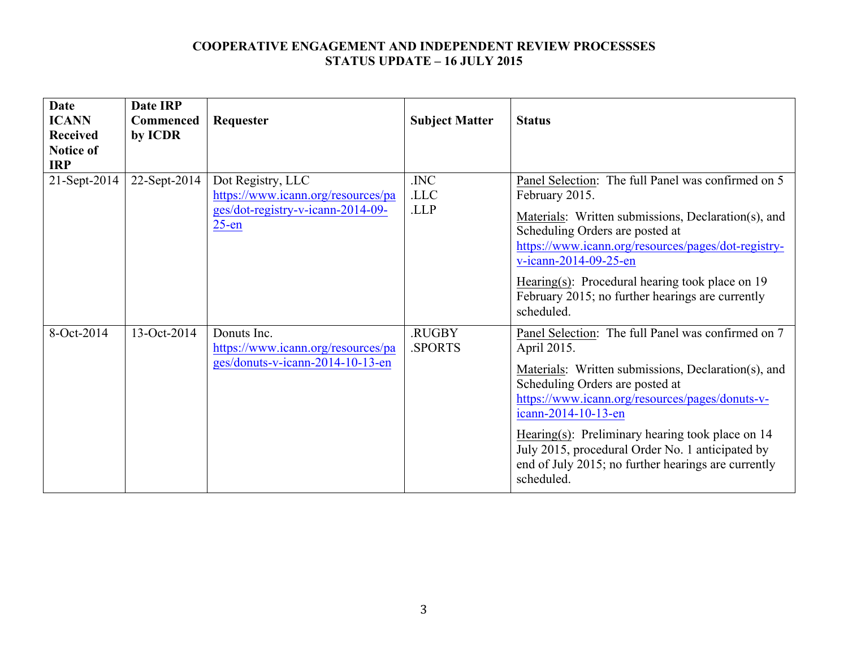| <b>Date</b><br><b>ICANN</b><br><b>Received</b><br><b>Notice of</b><br><b>IRP</b> | Date IRP<br><b>Commenced</b><br>by ICDR | Requester                                                                                                | <b>Subject Matter</b>         | <b>Status</b>                                                                                                                                                                                                                                                                                                                                                                                                      |
|----------------------------------------------------------------------------------|-----------------------------------------|----------------------------------------------------------------------------------------------------------|-------------------------------|--------------------------------------------------------------------------------------------------------------------------------------------------------------------------------------------------------------------------------------------------------------------------------------------------------------------------------------------------------------------------------------------------------------------|
| 21-Sept-2014                                                                     | 22-Sept-2014                            | Dot Registry, LLC<br>https://www.icann.org/resources/pa<br>ges/dot-registry-v-icann-2014-09-<br>$25$ -en | .INC<br>.LLC<br>.LLP          | Panel Selection: The full Panel was confirmed on 5<br>February 2015.<br>Materials: Written submissions, Declaration(s), and<br>Scheduling Orders are posted at<br>https://www.icann.org/resources/pages/dot-registry-<br>v-icann-2014-09-25-en<br>Hearing(s): Procedural hearing took place on 19<br>February 2015; no further hearings are currently<br>scheduled.                                                |
| 8-Oct-2014                                                                       | 13-Oct-2014                             | Donuts Inc.<br>https://www.icann.org/resources/pa<br>ges/donuts-v-icann-2014-10-13-en                    | <b>RUGBY</b><br><b>SPORTS</b> | Panel Selection: The full Panel was confirmed on 7<br>April 2015.<br>Materials: Written submissions, Declaration(s), and<br>Scheduling Orders are posted at<br>https://www.icann.org/resources/pages/donuts-v-<br>icann-2014-10-13-en<br>Hearing(s): Preliminary hearing took place on 14<br>July 2015, procedural Order No. 1 anticipated by<br>end of July 2015; no further hearings are currently<br>scheduled. |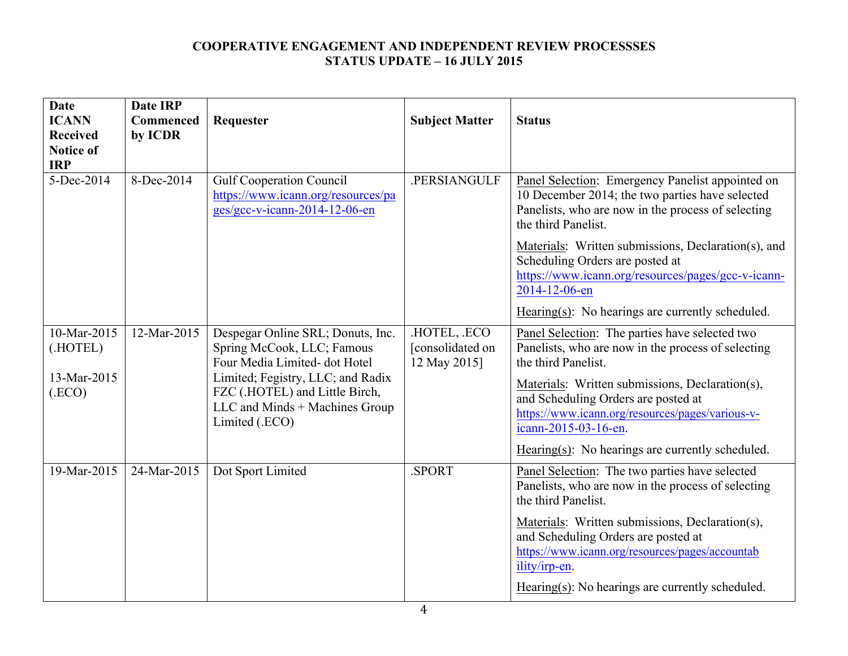| <b>Date</b><br><b>ICANN</b><br><b>Received</b><br><b>Notice of</b><br><b>IRP</b> | <b>Date IRP</b><br>Commenced<br>by ICDR | Requester                                                                                                               | <b>Subject Matter</b>                          | <b>Status</b>                                                                                                                                                                    |
|----------------------------------------------------------------------------------|-----------------------------------------|-------------------------------------------------------------------------------------------------------------------------|------------------------------------------------|----------------------------------------------------------------------------------------------------------------------------------------------------------------------------------|
| 5-Dec-2014                                                                       | 8-Dec-2014                              | <b>Gulf Cooperation Council</b><br>https://www.icann.org/resources/pa<br>ges/gcc-v-icann-2014-12-06-en                  | .PERSIANGULF                                   | Panel Selection: Emergency Panelist appointed on<br>10 December 2014; the two parties have selected<br>Panelists, who are now in the process of selecting<br>the third Panelist. |
|                                                                                  |                                         |                                                                                                                         |                                                | Materials: Written submissions, Declaration(s), and<br>Scheduling Orders are posted at<br>https://www.icann.org/resources/pages/gcc-v-icann-<br>2014-12-06-en                    |
|                                                                                  |                                         |                                                                                                                         |                                                | Hearing(s): No hearings are currently scheduled.                                                                                                                                 |
| 10-Mar-2015<br>(.HOTEL)                                                          | 12-Mar-2015                             | Despegar Online SRL; Donuts, Inc.<br>Spring McCook, LLC; Famous<br>Four Media Limited-dot Hotel                         | HOTEL, ECO<br>[consolidated on<br>12 May 2015] | Panel Selection: The parties have selected two<br>Panelists, who are now in the process of selecting<br>the third Panelist.                                                      |
| 13-Mar-2015<br>(ECO)                                                             |                                         | Limited; Fegistry, LLC; and Radix<br>FZC (.HOTEL) and Little Birch,<br>LLC and Minds + Machines Group<br>Limited (.ECO) |                                                | Materials: Written submissions, Declaration(s),<br>and Scheduling Orders are posted at<br>https://www.icann.org/resources/pages/various-v-<br>icann-2015-03-16-en.               |
|                                                                                  |                                         |                                                                                                                         |                                                | Hearing $(s)$ : No hearings are currently scheduled.                                                                                                                             |
| 19-Mar-2015                                                                      | 24-Mar-2015                             | Dot Sport Limited                                                                                                       | .SPORT                                         | Panel Selection: The two parties have selected<br>Panelists, who are now in the process of selecting<br>the third Panelist.                                                      |
|                                                                                  |                                         |                                                                                                                         |                                                | Materials: Written submissions, Declaration(s),<br>and Scheduling Orders are posted at<br>https://www.icann.org/resources/pages/accountab<br>ility/irp-en.                       |
|                                                                                  |                                         |                                                                                                                         |                                                | Hearing(s): No hearings are currently scheduled.                                                                                                                                 |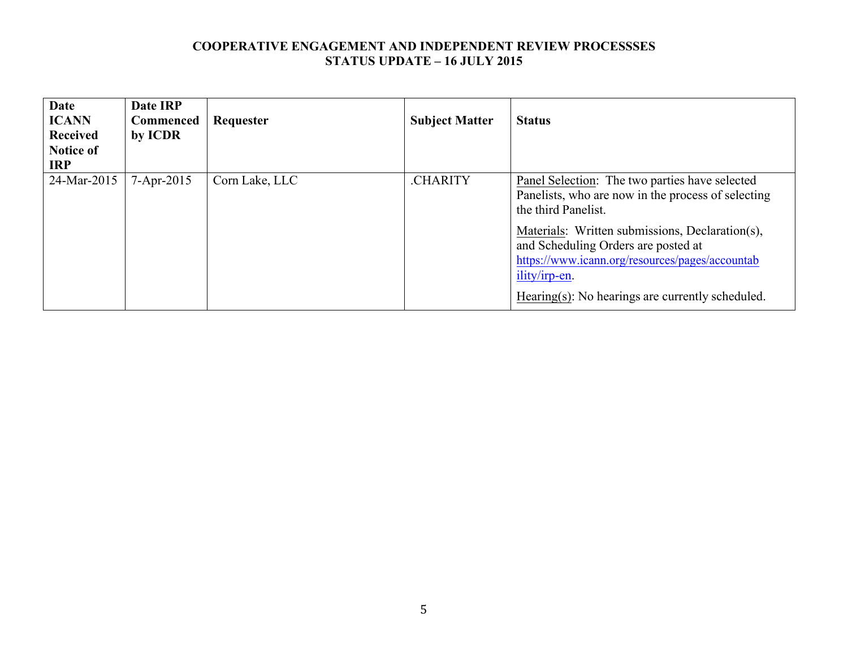| <b>Date</b><br><b>ICANN</b><br><b>Received</b><br><b>Notice of</b><br><b>IRP</b> | Date IRP<br><b>Commenced</b><br>by ICDR | Requester      | <b>Subject Matter</b> | <b>Status</b>                                                                                                                                                                                                                                                                                                                                        |
|----------------------------------------------------------------------------------|-----------------------------------------|----------------|-----------------------|------------------------------------------------------------------------------------------------------------------------------------------------------------------------------------------------------------------------------------------------------------------------------------------------------------------------------------------------------|
| 24-Mar-2015                                                                      | $7 - Apr - 2015$                        | Corn Lake, LLC | .CHARITY              | <b>Panel Selection:</b> The two parties have selected<br>Panelists, who are now in the process of selecting<br>the third Panelist.<br>Materials: Written submissions, Declaration(s),<br>and Scheduling Orders are posted at<br>https://www.icann.org/resources/pages/accountab<br>ility/irp-en.<br>Hearing(s): No hearings are currently scheduled. |